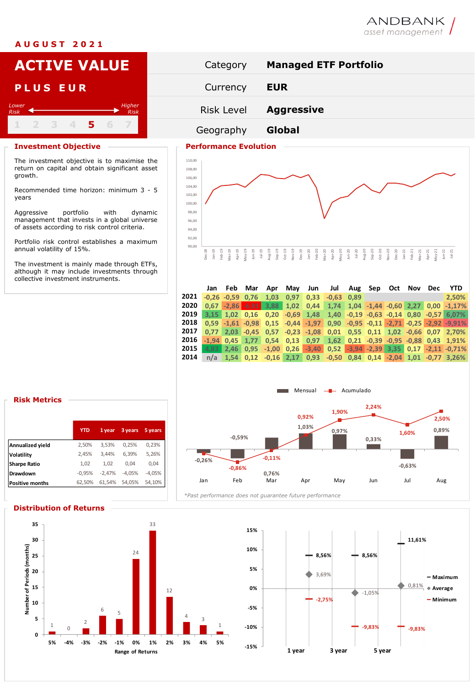## **A U G U S T 2 0 2 1**

# ANDBANK asset management



management that invests in a global universe of assets according to risk control criteria.

Portfolio risk control establishes a maximum annual volatility of 15%.

The investment is mainly made through ETFs, although it may include investments through collective investment instruments.



|                     | Jan     | Feb                  | Mar              | Apr                                       | May  | Jun                 | Jul     | Aug  | Sep                     | Oct | Nov | <b>Dec</b> | <b>YTD</b>                                                               |
|---------------------|---------|----------------------|------------------|-------------------------------------------|------|---------------------|---------|------|-------------------------|-----|-----|------------|--------------------------------------------------------------------------|
| 2021                |         | $-0.26$ $-0.59$ 0.76 |                  | 1.03                                      | 0.97 | 0.33                | $-0.63$ | 0.89 |                         |     |     |            | 2.50%                                                                    |
| 2020                | 0.67    |                      |                  | $-2,86$ $-6,91$ 3,88                      | 1,02 | 0.44                | 1,74    |      | $1,04 -1,44 -0,60$ 2,27 |     |     |            | $0.00 -1.17%$                                                            |
| 2019                | 3.15    |                      | $1.02 \mid 0.16$ |                                           |      | $0,20$ $-0,69$ 1,48 | 1,40    |      |                         |     |     |            | $-0.19 - 0.63 - 0.14 - 0.80 - 0.57 - 6.07%$                              |
| 2018                |         |                      |                  | $0.59 - 1.61 - 0.98$ $0.15 - 0.44 - 1.97$ |      |                     |         |      |                         |     |     |            | $0,90$ $-0,95$ $-0,11$ $-2,71$ $-0,25$ $-2,92$ $-9,91\%$                 |
| 2017                | 0.77    | 2.03                 |                  | $-0.45$ $0.57$ $-0.23$ $-1.08$            |      |                     |         |      |                         |     |     |            | $0,01$ $0,55$ $0,11$ $1,02$ $-0,66$ $0,07$ 2,70%                         |
| 2016                | $-1.94$ | 0.45                 |                  | $1.77$ 0.54 0.13 0.97                     |      |                     | 1,62    |      |                         |     |     |            | $0,21$ $-0,39$ $-0.95$ $-0.88$ $0,43$ $1,91\%$                           |
| 2015                | 4.83    | 2.46                 |                  |                                           |      |                     |         |      |                         |     |     |            | $0.95 -1.00$ $0.26 -3.40$ $0.52 -3.94 -2.39$ 3.35 $0.17 -2.11$ $-0.71\%$ |
| 2014                | n/a     |                      |                  |                                           |      |                     |         |      |                         |     |     |            | 1,54 0,12 -0,16 2,17 0,93 -0,50 0,84 0,14 -2,04 1,01 -0,77 3,26%         |
|                     |         |                      |                  |                                           |      |                     |         |      |                         |     |     |            |                                                                          |
|                     |         |                      |                  |                                           |      |                     |         |      |                         |     |     |            |                                                                          |
|                     |         |                      |                  |                                           |      |                     |         |      |                         |     |     |            |                                                                          |
| Mensual - Acumulado |         |                      |                  |                                           |      |                     |         |      |                         |     |     |            |                                                                          |

## **Risk Metrics**

growth.

*Lower Risk*

years

|                        | <b>YTD</b> | 1 year   | 3 years  | 5 years  |  |
|------------------------|------------|----------|----------|----------|--|
| Annualized yield       | 2,50%      | 3.53%    | 0,25%    | 0,23%    |  |
| Volatility             | 2,45%      | 3.44%    | 6,39%    | 5,26%    |  |
| <b>Sharpe Ratio</b>    | 1.02       | 1.02     | 0.04     | 0.04     |  |
| Drawdown               | $-0,95%$   | $-2.47%$ | $-4.05%$ | $-4.05%$ |  |
| <b>Positive months</b> | 62,50%     | 61.54%   | 54.05%   | 54.10%   |  |